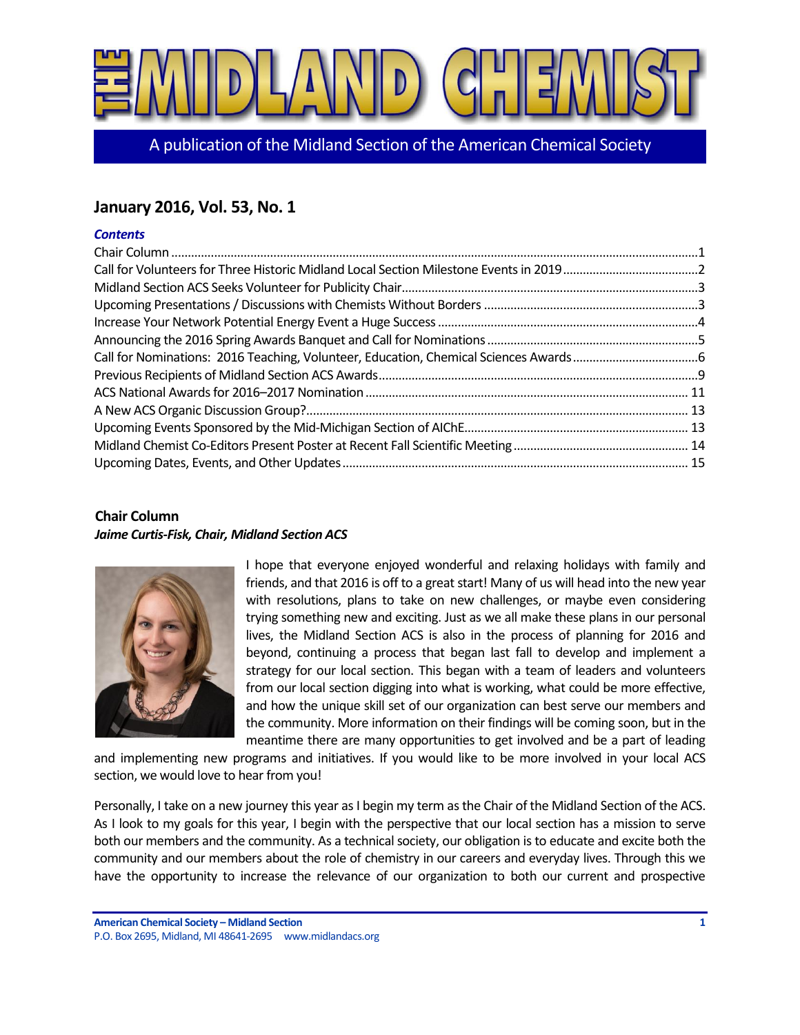

A publication of the Midland Section of the American Chemical Society

# **January 2016, Vol. 53, No. 1**

## *Contents*

# <span id="page-0-0"></span>**Chair Column** *Jaime Curtis-Fisk, Chair, Midland Section ACS*



I hope that everyone enjoyed wonderful and relaxing holidays with family and friends, and that 2016 is off to a great start! Many of us will head into the new year with resolutions, plans to take on new challenges, or maybe even considering trying something new and exciting. Just as we all make these plans in our personal lives, the Midland Section ACS is also in the process of planning for 2016 and beyond, continuing a process that began last fall to develop and implement a strategy for our local section. This began with a team of leaders and volunteers from our local section digging into what is working, what could be more effective, and how the unique skill set of our organization can best serve our members and the community. More information on their findings will be coming soon, but in the meantime there are many opportunities to get involved and be a part of leading

and implementing new programs and initiatives. If you would like to be more involved in your local ACS section, we would love to hear from you!

Personally, I take on a new journey this year as I begin my term as the Chair of the Midland Section of the ACS. As I look to my goals for this year, I begin with the perspective that our local section has a mission to serve both our members and the community. As a technical society, our obligation is to educate and excite both the community and our members about the role of chemistry in our careers and everyday lives. Through this we have the opportunity to increase the relevance of our organization to both our current and prospective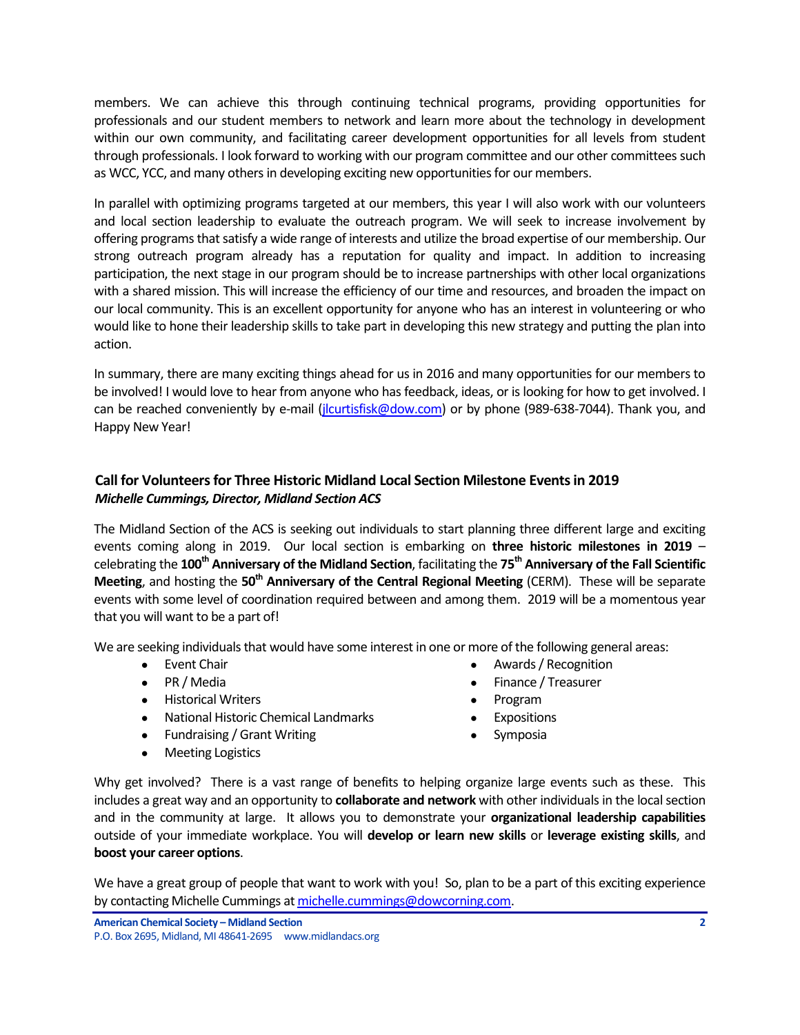members. We can achieve this through continuing technical programs, providing opportunities for professionals and our student members to network and learn more about the technology in development within our own community, and facilitating career development opportunities for all levels from student through professionals. I look forward to working with our program committee and our other committees such as WCC, YCC, and many others in developing exciting new opportunities for our members.

In parallel with optimizing programs targeted at our members, this year I will also work with our volunteers and local section leadership to evaluate the outreach program. We will seek to increase involvement by offering programs that satisfy a wide range of interests and utilize the broad expertise of our membership. Our strong outreach program already has a reputation for quality and impact. In addition to increasing participation, the next stage in our program should be to increase partnerships with other local organizations with a shared mission. This will increase the efficiency of our time and resources, and broaden the impact on our local community. This is an excellent opportunity for anyone who has an interest in volunteering or who would like to hone their leadership skills to take part in developing this new strategy and putting the plan into action.

In summary, there are many exciting things ahead for us in 2016 and many opportunities for our members to be involved! I would love to hear from anyone who has feedback, ideas, or is looking for how to get involved. I can be reached conveniently by e-mail [\(jlcurtisfisk@dow.com\)](mailto:jlcurtisfisk@dow.com) or by phone (989-638-7044). Thank you, and Happy New Year!

# <span id="page-1-0"></span>**Call for Volunteersfor Three Historic Midland Local Section Milestone Events in 2019** *Michelle Cummings, Director, Midland Section ACS*

The Midland Section of the ACS is seeking out individuals to start planning three different large and exciting events coming along in 2019. Our local section is embarking on **three historic milestones in 2019** – celebrating the **100th Anniversary of the Midland Section**, facilitating the **75th Anniversary of the Fall Scientific Meeting**, and hosting the **50th Anniversary of the Central Regional Meeting** (CERM). These will be separate events with some level of coordination required between and among them. 2019 will be a momentous year that you will want to be a part of!

We are seeking individuals that would have some interest in one or more of the following general areas:

- 
- 
- Historical Writers Program
- National Historic Chemical Landmarks Expositions
- Fundraising / Grant Writing example and the Symposia
- Meeting Logistics
- Event Chair  **Awards / Recognition**
- PR / Media Finance / Treasurer
	-
	-
	-

Why get involved? There is a vast range of benefits to helping organize large events such as these. This includes a great way and an opportunity to **collaborate and network** with other individuals in the local section and in the community at large. It allows you to demonstrate your **organizational leadership capabilities** outside of your immediate workplace. You will **develop or learn new skills** or **leverage existing skills**, and **boost your career options**.

We have a great group of people that want to work with you! So, plan to be a part of this exciting experience by contacting Michelle Cummings at [michelle.cummings@dowcorning.com.](mailto:michelle.cummings@dowcorning.com)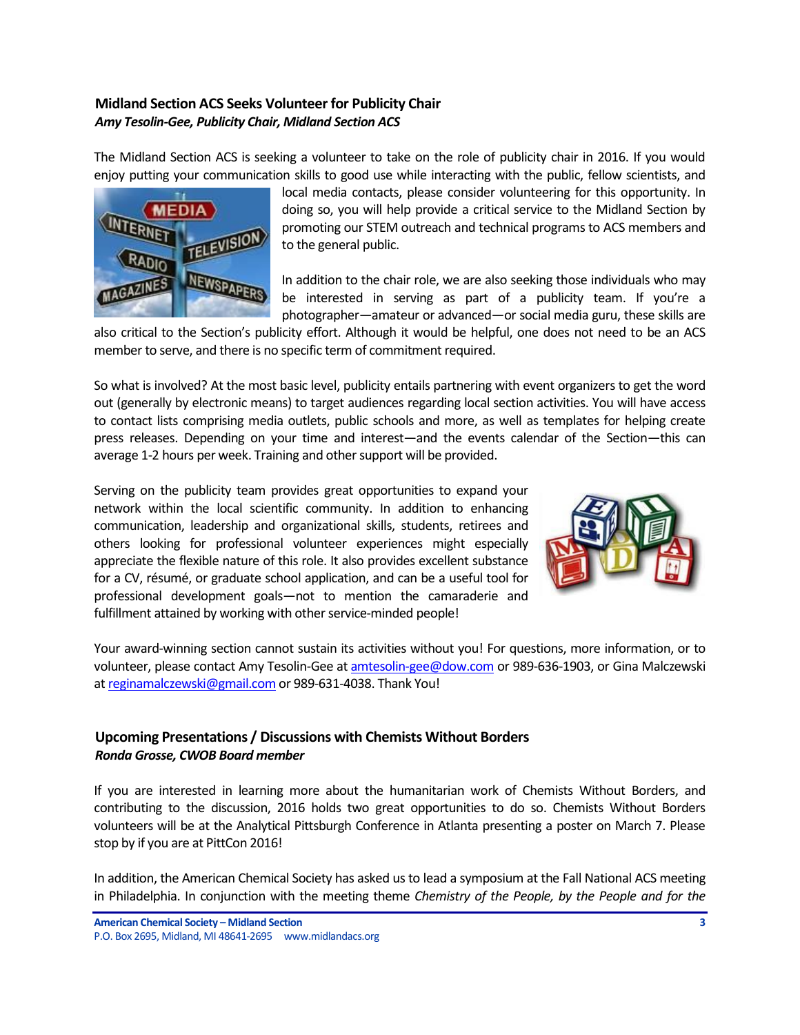# <span id="page-2-0"></span>**Midland Section ACS Seeks Volunteer for Publicity Chair** *Amy Tesolin-Gee, Publicity Chair, Midland Section ACS*

The Midland Section ACS is seeking a volunteer to take on the role of publicity chair in 2016. If you would enjoy putting your communication skills to good use while interacting with the public, fellow scientists, and



local media contacts, please consider volunteering for this opportunity. In doing so, you will help provide a critical service to the Midland Section by promoting our STEM outreach and technical programs to ACS members and to the general public.

In addition to the chair role, we are also seeking those individuals who may be interested in serving as part of a publicity team. If you're a photographer—amateur or advanced—or social media guru, these skills are

also critical to the Section's publicity effort. Although it would be helpful, one does not need to be an ACS member to serve, and there is no specific term of commitment required.

So what is involved? At the most basic level, publicity entails partnering with event organizers to get the word out (generally by electronic means) to target audiences regarding local section activities. You will have access to contact lists comprising media outlets, public schools and more, as well as templates for helping create press releases. Depending on your time and interest—and the events calendar of the Section—this can average 1-2 hours per week. Training and other support will be provided.

Serving on the publicity team provides great opportunities to expand your network within the local scientific community. In addition to enhancing communication, leadership and organizational skills, students, retirees and others looking for professional volunteer experiences might especially appreciate the flexible nature of this role. It also provides excellent substance for a CV, résumé, or graduate school application, and can be a useful tool for professional development goals—not to mention the camaraderie and fulfillment attained by working with other service-minded people!



Your award-winning section cannot sustain its activities without you! For questions, more information, or to volunteer, please contact Amy Tesolin-Gee at [amtesolin-gee@dow.com](mailto:amtesolin-gee@dow.com) or 989-636-1903, or Gina Malczewski a[t reginamalczewski@gmail.com](mailto:reginamalczewski@gmail.com) or 989-631-4038. Thank You!

# <span id="page-2-1"></span>**Upcoming Presentations / Discussions with Chemists Without Borders** *Ronda Grosse, CWOB Board member*

If you are interested in learning more about the humanitarian work of Chemists Without Borders, and contributing to the discussion, 2016 holds two great opportunities to do so. Chemists Without Borders volunteers will be at the Analytical Pittsburgh Conference in Atlanta presenting a poster on March 7. Please stop by if you are at PittCon 2016!

In addition, the American Chemical Society has asked us to lead a symposium at the Fall National ACS meeting in Philadelphia. In conjunction with the meeting theme *Chemistry of the People, by the People and for the*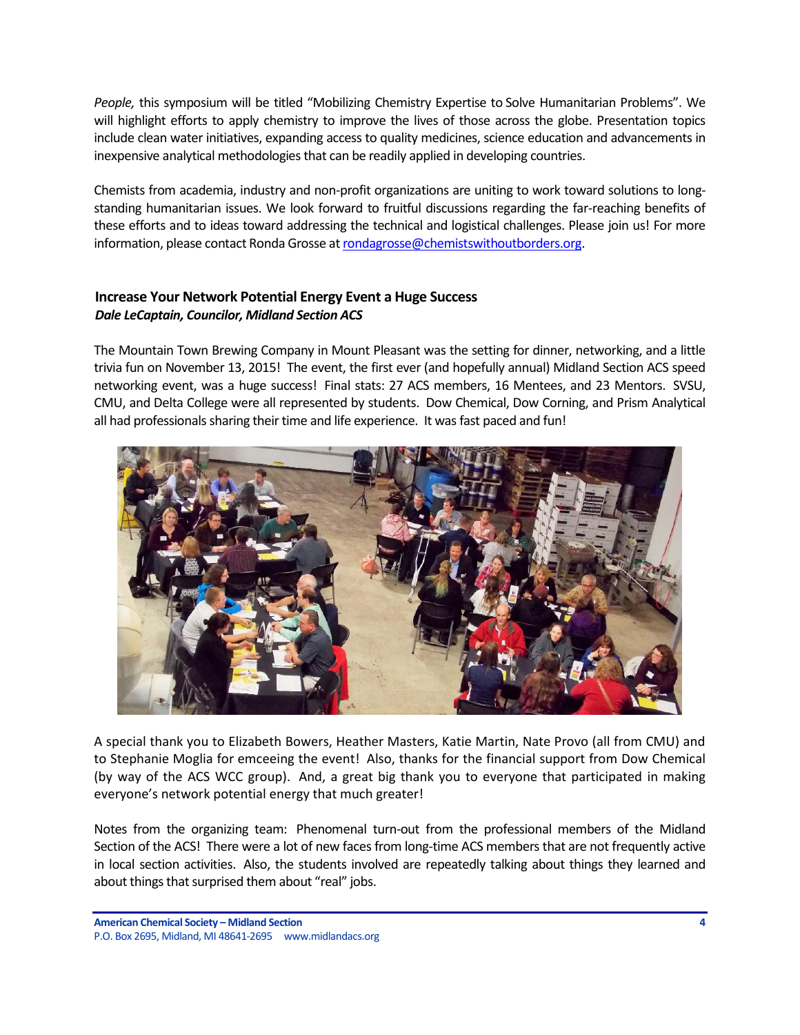*People,* this symposium will be titled "Mobilizing Chemistry Expertise to Solve Humanitarian Problems". We will highlight efforts to apply chemistry to improve the lives of those across the globe. Presentation topics include clean water initiatives, expanding access to quality medicines, science education and advancements in inexpensive analytical methodologies that can be readily applied in developing countries.

Chemists from academia, industry and non-profit organizations are uniting to work toward solutions to longstanding humanitarian issues. We look forward to fruitful discussions regarding the far-reaching benefits of these efforts and to ideas toward addressing the technical and logistical challenges. Please join us! For more information, please contact Ronda Grosse a[t rondagrosse@chemistswithoutborders.org.](mailto:rondagrosse@chemistswithoutborders.org)

## <span id="page-3-0"></span>**Increase Your Network Potential Energy Event a Huge Success** *Dale LeCaptain, Councilor, Midland Section ACS*

The Mountain Town Brewing Company in Mount Pleasant was the setting for dinner, networking, and a little trivia fun on November 13, 2015! The event, the first ever (and hopefully annual) Midland Section ACS speed networking event, was a huge success! Final stats: 27 ACS members, 16 Mentees, and 23 Mentors. SVSU, CMU, and Delta College were all represented by students. Dow Chemical, Dow Corning, and Prism Analytical all had professionals sharing their time and life experience. It was fast paced and fun!



A special thank you to Elizabeth Bowers, Heather Masters, Katie Martin, Nate Provo (all from CMU) and to Stephanie Moglia for emceeing the event! Also, thanks for the financial support from Dow Chemical (by way of the ACS WCC group). And, a great big thank you to everyone that participated in making everyone's network potential energy that much greater!

Notes from the organizing team: Phenomenal turn-out from the professional members of the Midland Section of the ACS! There were a lot of new faces from long-time ACS members that are not frequently active in local section activities. Also, the students involved are repeatedly talking about things they learned and about things that surprised them about "real" jobs.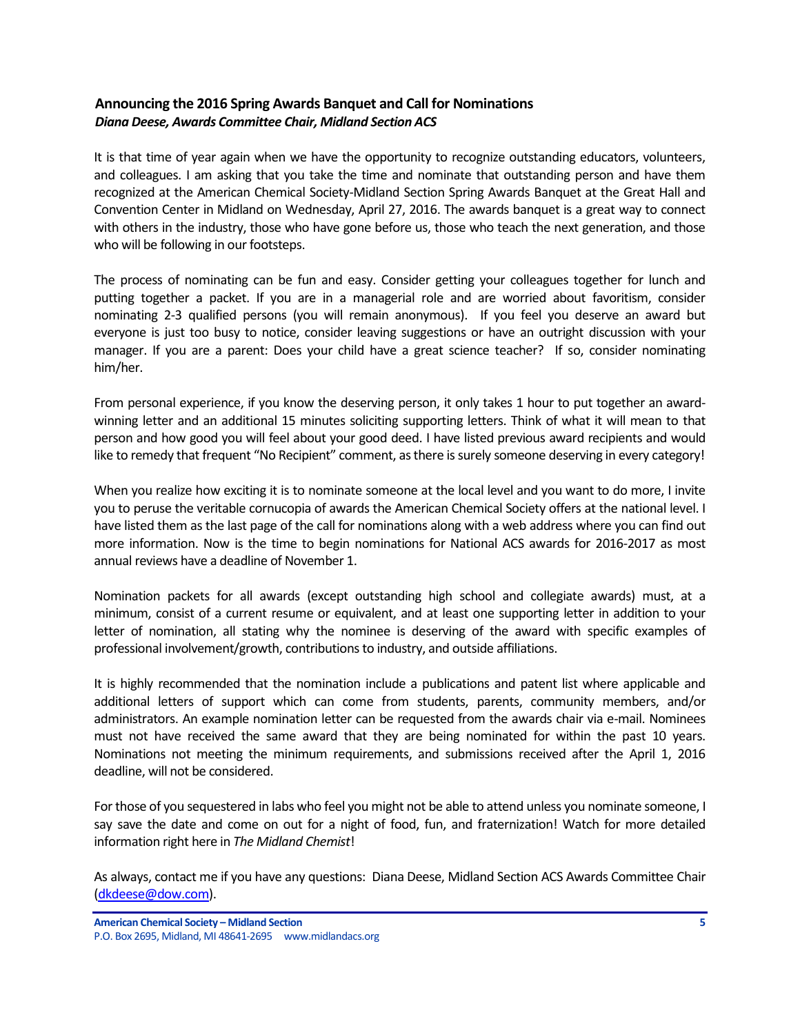## <span id="page-4-0"></span>**Announcing the 2016 Spring Awards Banquet and Call for Nominations** *Diana Deese, Awards Committee Chair, Midland Section ACS*

It is that time of year again when we have the opportunity to recognize outstanding educators, volunteers, and colleagues. I am asking that you take the time and nominate that outstanding person and have them recognized at the American Chemical Society-Midland Section Spring Awards Banquet at the Great Hall and Convention Center in Midland on Wednesday, April 27, 2016. The awards banquet is a great way to connect with others in the industry, those who have gone before us, those who teach the next generation, and those who will be following in our footsteps.

The process of nominating can be fun and easy. Consider getting your colleagues together for lunch and putting together a packet. If you are in a managerial role and are worried about favoritism, consider nominating 2-3 qualified persons (you will remain anonymous). If you feel you deserve an award but everyone is just too busy to notice, consider leaving suggestions or have an outright discussion with your manager. If you are a parent: Does your child have a great science teacher? If so, consider nominating him/her.

From personal experience, if you know the deserving person, it only takes 1 hour to put together an awardwinning letter and an additional 15 minutes soliciting supporting letters. Think of what it will mean to that person and how good you will feel about your good deed. I have listed previous award recipients and would like to remedy that frequent "No Recipient" comment, as there is surely someone deserving in every category!

When you realize how exciting it is to nominate someone at the local level and you want to do more, I invite you to peruse the veritable cornucopia of awards the American Chemical Society offers at the national level. I have listed them as the last page of the call for nominations along with a web address where you can find out more information. Now is the time to begin nominations for National ACS awards for 2016-2017 as most annual reviews have a deadline of November 1.

Nomination packets for all awards (except outstanding high school and collegiate awards) must, at a minimum, consist of a current resume or equivalent, and at least one supporting letter in addition to your letter of nomination, all stating why the nominee is deserving of the award with specific examples of professional involvement/growth, contributions to industry, and outside affiliations.

It is highly recommended that the nomination include a publications and patent list where applicable and additional letters of support which can come from students, parents, community members, and/or administrators. An example nomination letter can be requested from the awards chair via e-mail. Nominees must not have received the same award that they are being nominated for within the past 10 years. Nominations not meeting the minimum requirements, and submissions received after the April 1, 2016 deadline, will not be considered.

For those of you sequestered in labs who feel you might not be able to attend unless you nominate someone, I say save the date and come on out for a night of food, fun, and fraternization! Watch for more detailed information right here in *The Midland Chemist*!

As always, contact me if you have any questions: Diana Deese, Midland Section ACS Awards Committee Chair [\(dkdeese@dow.com\)](mailto:dkdeese@dow.com).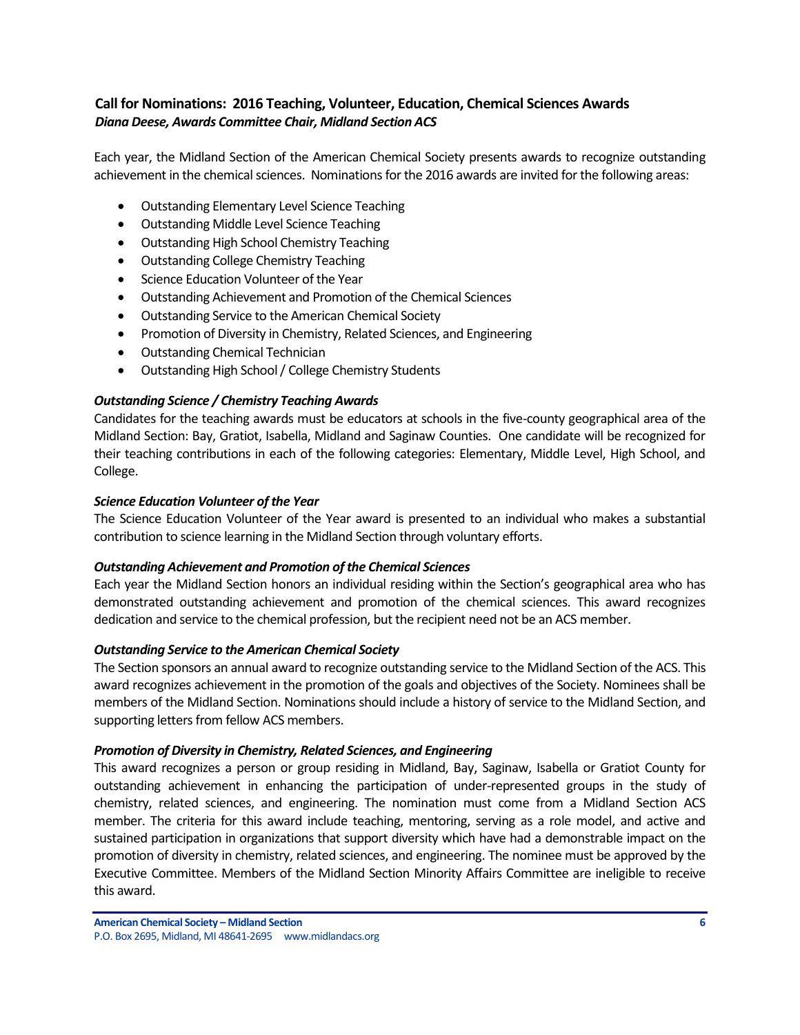## <span id="page-5-0"></span>**Call for Nominations: 2016 Teaching, Volunteer, Education, Chemical Sciences Awards** *Diana Deese, Awards Committee Chair, Midland Section ACS*

Each year, the Midland Section of the American Chemical Society presents awards to recognize outstanding achievement in the chemical sciences. Nominations for the 2016 awards are invited for the following areas:

- Outstanding Elementary Level Science Teaching
- Outstanding Middle Level Science Teaching
- Outstanding High School Chemistry Teaching
- Outstanding College Chemistry Teaching
- Science Education Volunteer of the Year
- Outstanding Achievement and Promotion of the Chemical Sciences
- Outstanding Service to the American Chemical Society
- Promotion of Diversity in Chemistry, Related Sciences, and Engineering
- Outstanding Chemical Technician
- Outstanding High School/ College Chemistry Students

## *Outstanding Science / Chemistry Teaching Awards*

Candidates for the teaching awards must be educators at schools in the five-county geographical area of the Midland Section: Bay, Gratiot, Isabella, Midland and Saginaw Counties. One candidate will be recognized for their teaching contributions in each of the following categories: Elementary, Middle Level, High School, and College.

## *Science Education Volunteer of the Year*

The Science Education Volunteer of the Year award is presented to an individual who makes a substantial contribution to science learning in the Midland Section through voluntary efforts.

## *Outstanding Achievement and Promotion of the Chemical Sciences*

Each year the Midland Section honors an individual residing within the Section's geographical area who has demonstrated outstanding achievement and promotion of the chemical sciences. This award recognizes dedication and service to the chemical profession, but the recipient need not be an ACS member.

## *Outstanding Service to the American Chemical Society*

The Section sponsors an annual award to recognize outstanding service to the Midland Section of the ACS. This award recognizes achievement in the promotion of the goals and objectives of the Society. Nominees shall be members of the Midland Section. Nominations should include a history of service to the Midland Section, and supporting letters from fellow ACS members.

## *Promotion of Diversity in Chemistry, Related Sciences, and Engineering*

This award recognizes a person or group residing in Midland, Bay, Saginaw, Isabella or Gratiot County for outstanding achievement in enhancing the participation of under-represented groups in the study of chemistry, related sciences, and engineering. The nomination must come from a Midland Section ACS member. The criteria for this award include teaching, mentoring, serving as a role model, and active and sustained participation in organizations that support diversity which have had a demonstrable impact on the promotion of diversity in chemistry, related sciences, and engineering. The nominee must be approved by the Executive Committee. Members of the Midland Section Minority Affairs Committee are ineligible to receive this award.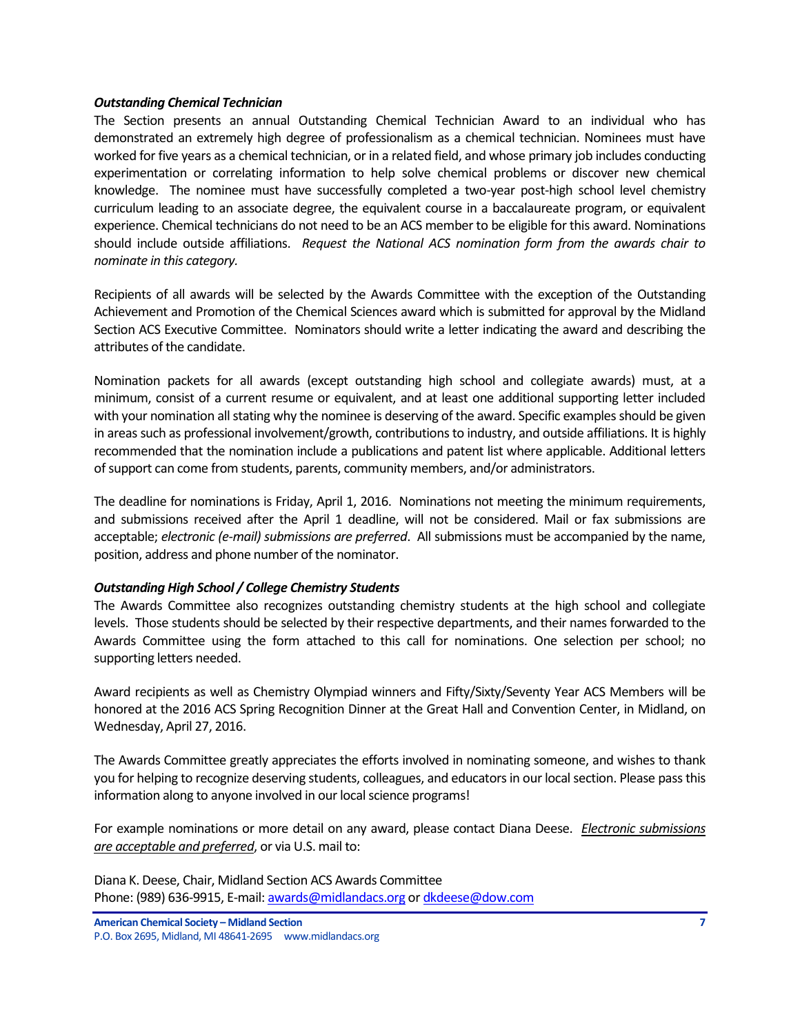#### *Outstanding Chemical Technician*

The Section presents an annual Outstanding Chemical Technician Award to an individual who has demonstrated an extremely high degree of professionalism as a chemical technician. Nominees must have worked for five years as a chemical technician, or in a related field, and whose primary job includes conducting experimentation or correlating information to help solve chemical problems or discover new chemical knowledge. The nominee must have successfully completed a two-year post-high school level chemistry curriculum leading to an associate degree, the equivalent course in a baccalaureate program, or equivalent experience. Chemical technicians do not need to be an ACS member to be eligible for this award. Nominations should include outside affiliations. *Request the National ACS nomination form from the awards chair to nominate in this category.* 

Recipients of all awards will be selected by the Awards Committee with the exception of the Outstanding Achievement and Promotion of the Chemical Sciences award which is submitted for approval by the Midland Section ACS Executive Committee. Nominators should write a letter indicating the award and describing the attributes of the candidate.

Nomination packets for all awards (except outstanding high school and collegiate awards) must, at a minimum, consist of a current resume or equivalent, and at least one additional supporting letter included with your nomination all stating why the nominee is deserving of the award. Specific examples should be given in areas such as professional involvement/growth, contributions to industry, and outside affiliations. It is highly recommended that the nomination include a publications and patent list where applicable. Additional letters of support can come from students, parents, community members, and/or administrators.

The deadline for nominations is Friday, April 1, 2016. Nominations not meeting the minimum requirements, and submissions received after the April 1 deadline, will not be considered. Mail or fax submissions are acceptable; *electronic (e-mail) submissions are preferred*. All submissions must be accompanied by the name, position, address and phone number of the nominator.

## *Outstanding High School / College Chemistry Students*

The Awards Committee also recognizes outstanding chemistry students at the high school and collegiate levels. Those students should be selected by their respective departments, and their names forwarded to the Awards Committee using the form attached to this call for nominations. One selection per school; no supporting letters needed.

Award recipients as well as Chemistry Olympiad winners and Fifty/Sixty/Seventy Year ACS Members will be honored at the 2016 ACS Spring Recognition Dinner at the Great Hall and Convention Center, in Midland, on Wednesday, April 27, 2016.

The Awards Committee greatly appreciates the efforts involved in nominating someone, and wishes to thank you for helping to recognize deserving students, colleagues, and educators in our local section. Please pass this information along to anyone involved in our local science programs!

For example nominations or more detail on any award, please contact Diana Deese. *Electronic submissions are acceptable and preferred*, or via U.S. mail to:

Diana K. Deese, Chair, Midland Section ACS Awards Committee Phone: (989) 636-9915, E-mail[: awards@midlandacs.org](mailto:awards@midlandacs.org) or [dkdeese@dow.com](mailto:dkdeese@dow.com)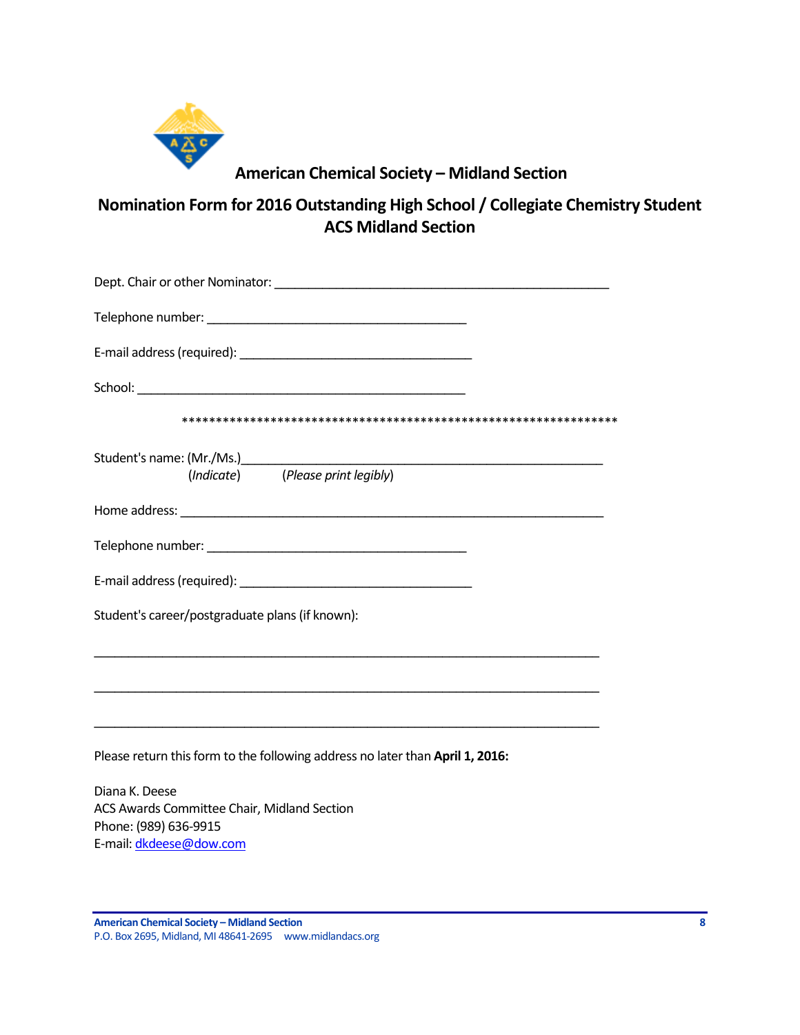

# **American Chemical Society – Midland Section**

**Nomination Form for 2016 Outstanding High School / Collegiate Chemistry Student ACS Midland Section**

| (Indicate) (Please print legibly)                                                                                     |
|-----------------------------------------------------------------------------------------------------------------------|
|                                                                                                                       |
|                                                                                                                       |
|                                                                                                                       |
| Student's career/postgraduate plans (if known):                                                                       |
|                                                                                                                       |
| <u> 1989 - Johann Harry Harry Harry Harry Harry Harry Harry Harry Harry Harry Harry Harry Harry Harry Harry Harry</u> |
| Please return this form to the following address no later than April 1, 2016:                                         |
| Diana K. Deese<br>ACS Awards Committee Chair, Midland Section<br>Phone: (989) 636-9915                                |

E-mail[: dkdeese@dow.com](mailto:dkdeese@dow.com)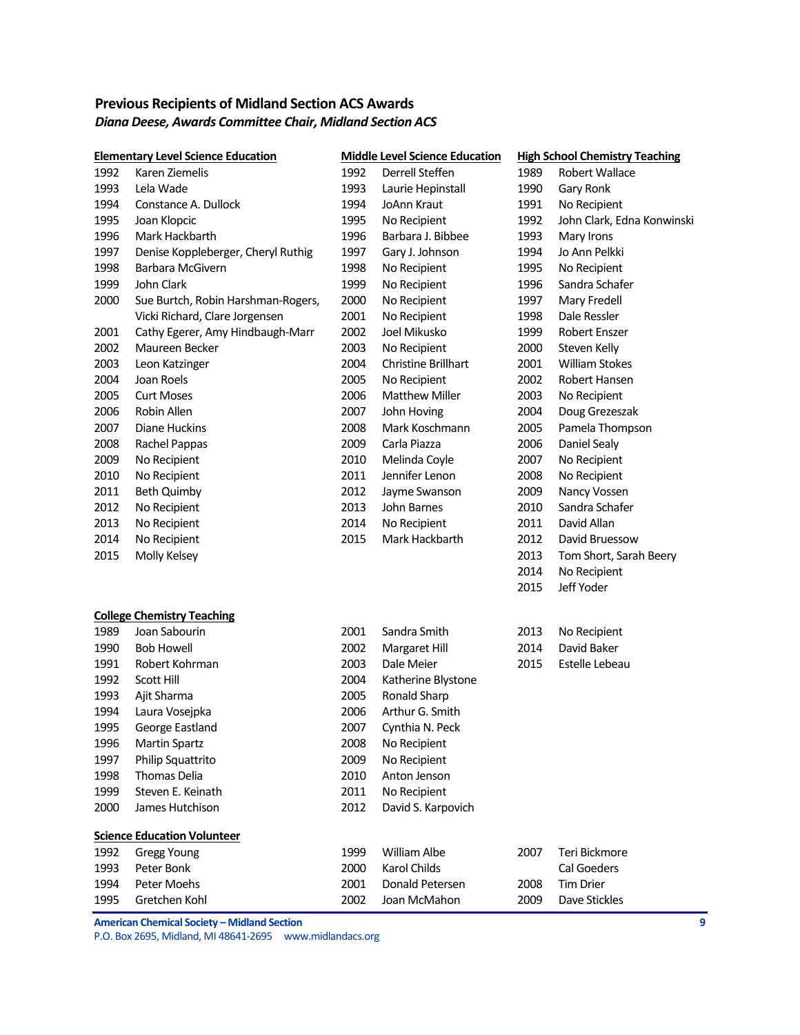# <span id="page-8-0"></span>**Previous Recipients of Midland Section ACS Awards** *Diana Deese, Awards Committee Chair, Midland Section ACS*

| <b>Elementary Level Science Education</b> |                                    |      | <b>Middle Level Science Education</b> |      | <b>High School Chemistry Teaching</b> |  |  |
|-------------------------------------------|------------------------------------|------|---------------------------------------|------|---------------------------------------|--|--|
| 1992                                      | Karen Ziemelis                     | 1992 | Derrell Steffen                       | 1989 | Robert Wallace                        |  |  |
| 1993                                      | Lela Wade                          | 1993 | Laurie Hepinstall                     | 1990 | Gary Ronk                             |  |  |
| 1994                                      | Constance A. Dullock               | 1994 | JoAnn Kraut                           | 1991 | No Recipient                          |  |  |
| 1995                                      | Joan Klopcic                       | 1995 | No Recipient                          | 1992 | John Clark, Edna Konwinski            |  |  |
| 1996                                      | Mark Hackbarth                     | 1996 | Barbara J. Bibbee                     | 1993 | Mary Irons                            |  |  |
| 1997                                      | Denise Koppleberger, Cheryl Ruthig | 1997 | Gary J. Johnson                       | 1994 | Jo Ann Pelkki                         |  |  |
| 1998                                      | Barbara McGivern                   | 1998 | No Recipient                          | 1995 | No Recipient                          |  |  |
| 1999                                      | John Clark                         | 1999 | No Recipient                          | 1996 | Sandra Schafer                        |  |  |
| 2000                                      | Sue Burtch, Robin Harshman-Rogers, | 2000 | No Recipient                          | 1997 | Mary Fredell                          |  |  |
|                                           | Vicki Richard, Clare Jorgensen     | 2001 | No Recipient                          | 1998 | Dale Ressler                          |  |  |
| 2001                                      | Cathy Egerer, Amy Hindbaugh-Marr   | 2002 | Joel Mikusko                          | 1999 | Robert Enszer                         |  |  |
| 2002                                      | Maureen Becker                     | 2003 | No Recipient                          | 2000 | Steven Kelly                          |  |  |
| 2003                                      | Leon Katzinger                     | 2004 | Christine Brillhart                   | 2001 | <b>William Stokes</b>                 |  |  |
| 2004                                      | Joan Roels                         | 2005 | No Recipient                          | 2002 | Robert Hansen                         |  |  |
| 2005                                      | <b>Curt Moses</b>                  | 2006 | <b>Matthew Miller</b>                 | 2003 | No Recipient                          |  |  |
| 2006                                      | Robin Allen                        | 2007 | John Hoving                           | 2004 | Doug Grezeszak                        |  |  |
| 2007                                      | Diane Huckins                      | 2008 | Mark Koschmann                        | 2005 | Pamela Thompson                       |  |  |
| 2008                                      | Rachel Pappas                      | 2009 | Carla Piazza                          | 2006 | Daniel Sealy                          |  |  |
| 2009                                      | No Recipient                       | 2010 | Melinda Coyle                         | 2007 | No Recipient                          |  |  |
| 2010                                      | No Recipient                       | 2011 | Jennifer Lenon                        | 2008 | No Recipient                          |  |  |
| 2011                                      | Beth Quimby                        | 2012 | Jayme Swanson                         | 2009 | Nancy Vossen                          |  |  |
| 2012                                      | No Recipient                       | 2013 | John Barnes                           | 2010 | Sandra Schafer                        |  |  |
| 2013                                      | No Recipient                       | 2014 | No Recipient                          | 2011 | David Allan                           |  |  |
| 2014                                      | No Recipient                       | 2015 | Mark Hackbarth                        | 2012 | David Bruessow                        |  |  |
| 2015                                      | Molly Kelsey                       |      |                                       | 2013 | Tom Short, Sarah Beery                |  |  |
|                                           |                                    |      |                                       | 2014 | No Recipient                          |  |  |
|                                           |                                    |      |                                       | 2015 | Jeff Yoder                            |  |  |
|                                           | <b>College Chemistry Teaching</b>  |      |                                       |      |                                       |  |  |
| 1989                                      | Joan Sabourin                      | 2001 | Sandra Smith                          | 2013 | No Recipient                          |  |  |
| 1990                                      | <b>Bob Howell</b>                  | 2002 | Margaret Hill                         | 2014 | David Baker                           |  |  |
| 1991                                      | Robert Kohrman                     | 2003 | Dale Meier                            | 2015 | <b>Estelle Lebeau</b>                 |  |  |
| 1992                                      | <b>Scott Hill</b>                  | 2004 | Katherine Blystone                    |      |                                       |  |  |
| 1993                                      | Ajit Sharma                        | 2005 | Ronald Sharp                          |      |                                       |  |  |
| 1994                                      | Laura Vosejpka                     | 2006 | Arthur G. Smith                       |      |                                       |  |  |
| 1995                                      | George Eastland                    | 2007 | Cynthia N. Peck                       |      |                                       |  |  |
| 1996                                      | <b>Martin Spartz</b>               | 2008 | No Recipient                          |      |                                       |  |  |
| 1997                                      | Philip Squattrito                  | 2009 | No Recipient                          |      |                                       |  |  |
| 1998                                      | <b>Thomas Delia</b>                | 2010 | Anton Jenson                          |      |                                       |  |  |
| 1999                                      | Steven E. Keinath                  | 2011 | No Recipient                          |      |                                       |  |  |
| 2000                                      | James Hutchison                    | 2012 | David S. Karpovich                    |      |                                       |  |  |
|                                           | <b>Science Education Volunteer</b> |      |                                       |      |                                       |  |  |
| 1992                                      | <b>Gregg Young</b>                 | 1999 | William Albe                          | 2007 | Teri Bickmore                         |  |  |
| 1993                                      | Peter Bonk                         | 2000 | Karol Childs                          |      | Cal Goeders                           |  |  |
| 1994                                      | Peter Moehs                        | 2001 | Donald Petersen                       | 2008 | <b>Tim Drier</b>                      |  |  |
| 1995                                      | Gretchen Kohl                      | 2002 | Joan McMahon                          | 2009 | Dave Stickles                         |  |  |

**American Chemical Society – Midland Section 9**

P.O. Box 2695, Midland, MI 48641-2695 www.midlandacs.org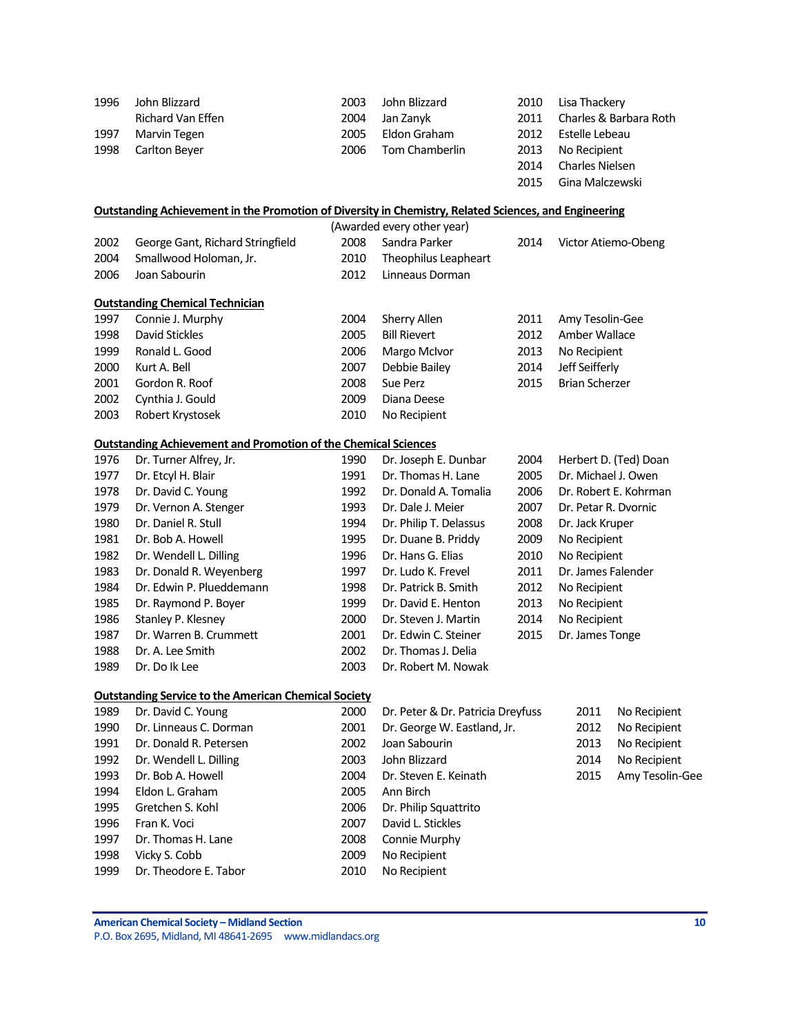| 1996 | John Blizzard                                                                                                | 2003 | John Blizzard                          | 2010 | Lisa Thackery         |                        |  |
|------|--------------------------------------------------------------------------------------------------------------|------|----------------------------------------|------|-----------------------|------------------------|--|
|      | Richard Van Effen                                                                                            | 2004 | Jan Zanyk                              | 2011 |                       | Charles & Barbara Roth |  |
| 1997 | Marvin Tegen                                                                                                 | 2005 | Eldon Graham                           | 2012 | Estelle Lebeau        |                        |  |
| 1998 | Carlton Beyer                                                                                                | 2006 | Tom Chamberlin<br>2013<br>No Recipient |      |                       |                        |  |
|      |                                                                                                              |      |                                        | 2014 | Charles Nielsen       |                        |  |
|      |                                                                                                              |      |                                        | 2015 | Gina Malczewski       |                        |  |
|      | <b>Outstanding Achievement in the Promotion of Diversity in Chemistry, Related Sciences, and Engineering</b> |      |                                        |      |                       |                        |  |
|      |                                                                                                              |      | (Awarded every other year)             |      |                       |                        |  |
| 2002 | George Gant, Richard Stringfield                                                                             | 2008 | Sandra Parker                          | 2014 | Victor Atiemo-Obeng   |                        |  |
| 2004 | Smallwood Holoman, Jr.                                                                                       | 2010 | Theophilus Leapheart                   |      |                       |                        |  |
| 2006 | Joan Sabourin                                                                                                | 2012 | Linneaus Dorman                        |      |                       |                        |  |
|      | <b>Outstanding Chemical Technician</b>                                                                       |      |                                        |      |                       |                        |  |
| 1997 | Connie J. Murphy                                                                                             | 2004 | Sherry Allen                           | 2011 | Amy Tesolin-Gee       |                        |  |
| 1998 | David Stickles                                                                                               | 2005 | <b>Bill Rievert</b>                    | 2012 | Amber Wallace         |                        |  |
| 1999 | Ronald L. Good                                                                                               | 2006 | Margo McIvor                           | 2013 | No Recipient          |                        |  |
| 2000 | Kurt A. Bell                                                                                                 | 2007 | Debbie Bailey                          | 2014 | Jeff Seifferly        |                        |  |
| 2001 | Gordon R. Roof                                                                                               | 2008 | Sue Perz                               | 2015 | <b>Brian Scherzer</b> |                        |  |
| 2002 | Cynthia J. Gould                                                                                             | 2009 | Diana Deese                            |      |                       |                        |  |
| 2003 | Robert Krystosek                                                                                             | 2010 | No Recipient                           |      |                       |                        |  |
|      | <b>Outstanding Achievement and Promotion of the Chemical Sciences</b>                                        |      |                                        |      |                       |                        |  |
| 1976 | Dr. Turner Alfrey, Jr.                                                                                       | 1990 | Dr. Joseph E. Dunbar                   | 2004 |                       | Herbert D. (Ted) Doan  |  |
| 1977 | Dr. Etcyl H. Blair                                                                                           | 1991 | Dr. Thomas H. Lane                     | 2005 | Dr. Michael J. Owen   |                        |  |
| 1978 | Dr. David C. Young                                                                                           | 1992 | Dr. Donald A. Tomalia                  | 2006 |                       | Dr. Robert E. Kohrman  |  |
| 1979 | Dr. Vernon A. Stenger                                                                                        | 1993 | Dr. Dale J. Meier                      | 2007 | Dr. Petar R. Dvornic  |                        |  |
| 1980 | Dr. Daniel R. Stull                                                                                          | 1994 | Dr. Philip T. Delassus                 | 2008 |                       | Dr. Jack Kruper        |  |
| 1981 | Dr. Bob A. Howell                                                                                            | 1995 | Dr. Duane B. Priddy                    | 2009 |                       | No Recipient           |  |
| 1982 | Dr. Wendell L. Dilling                                                                                       | 1996 | Dr. Hans G. Elias                      | 2010 | No Recipient          |                        |  |
| 1983 | Dr. Donald R. Weyenberg                                                                                      | 1997 | Dr. Ludo K. Frevel                     | 2011 |                       | Dr. James Falender     |  |
| 1984 | Dr. Edwin P. Plueddemann                                                                                     | 1998 | Dr. Patrick B. Smith                   | 2012 | No Recipient          |                        |  |
| 1985 | Dr. Raymond P. Boyer                                                                                         | 1999 | Dr. David E. Henton                    | 2013 | No Recipient          |                        |  |
| 1986 | Stanley P. Klesney                                                                                           | 2000 | Dr. Steven J. Martin                   | 2014 | No Recipient          |                        |  |
| 1987 | Dr. Warren B. Crummett                                                                                       | 2001 | Dr. Edwin C. Steiner                   | 2015 | Dr. James Tonge       |                        |  |
| 1988 | Dr. A. Lee Smith                                                                                             | 2002 | Dr. Thomas J. Delia                    |      |                       |                        |  |
| 1989 | Dr. Do Ik Lee                                                                                                | 2003 | Dr. Robert M. Nowak                    |      |                       |                        |  |
|      | <b>Outstanding Service to the American Chemical Society</b>                                                  |      |                                        |      |                       |                        |  |
| 1989 | Dr. David C. Young                                                                                           | 2000 | Dr. Peter & Dr. Patricia Dreyfuss      |      | 2011                  | No Recipient           |  |
| 1990 | Dr. Linneaus C. Dorman                                                                                       | 2001 | Dr. George W. Eastland, Jr.            |      | 2012                  | No Recipient           |  |
| 1991 | Dr. Donald R. Petersen                                                                                       | 2002 | Joan Sabourin                          |      | 2013                  | No Recipient           |  |
| 1992 | Dr. Wendell L. Dilling                                                                                       | 2003 | John Blizzard                          |      | 2014                  | No Recipient           |  |
| 1993 | Dr. Bob A. Howell                                                                                            | 2004 | Dr. Steven E. Keinath                  |      | 2015                  | Amy Tesolin-Gee        |  |
| 1994 | Eldon L. Graham                                                                                              | 2005 | Ann Birch                              |      |                       |                        |  |
| 1995 | Gretchen S. Kohl                                                                                             | 2006 | Dr. Philip Squattrito                  |      |                       |                        |  |
| 1996 | Fran K. Voci                                                                                                 | 2007 | David L. Stickles                      |      |                       |                        |  |
| 1997 | Dr. Thomas H. Lane                                                                                           | 2008 | Connie Murphy                          |      |                       |                        |  |
| 1998 | Vicky S. Cobb                                                                                                | 2009 | No Recipient                           |      |                       |                        |  |
| 1999 | Dr. Theodore E. Tabor                                                                                        | 2010 | No Recipient                           |      |                       |                        |  |
|      |                                                                                                              |      |                                        |      |                       |                        |  |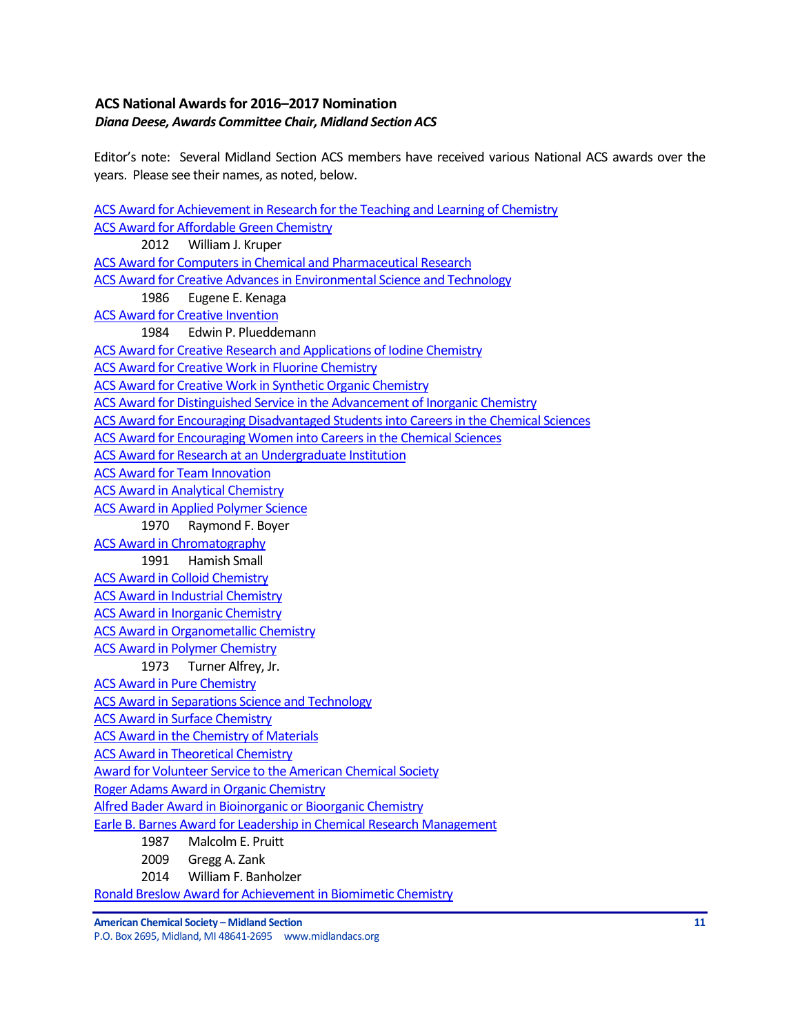## <span id="page-10-0"></span>**ACS National Awardsfor 2016–2017 Nomination** *Diana Deese, Awards Committee Chair, Midland Section ACS*

Editor's note: Several Midland Section ACS members have received various National ACS awards over the years. Please see their names, as noted, below.

[ACS Award for Achievement in Research for the Teaching and Learning of Chemistry](http://www.acs.org/content/acs/en/funding-and-awards/awards/national/bytopic/acs-award-for-achievement-in-research-for-the-teaching-and-learning-of-chemistry.html) [ACS Award for Affordable Green Chemistry](http://www.acs.org/content/acs/en/funding-and-awards/awards/national/bytopic/acs-award-for-affordable-green-chemistry.html) 2012 William J. Kruper [ACS Award for Computers in Chemical and Pharmaceutical Research](http://www.acs.org/content/acs/en/funding-and-awards/awards/national/bytopic/acs-award-for-computers-in-chemical-and-pharmaceutical-research.html) [ACS Award for Creative Advances in Environmental Science and Technology](http://www.acs.org/content/acs/en/funding-and-awards/awards/national/bytopic/acs-award-for-creative-advances-in-environmental-science-and-technology.html) 1986 Eugene E. Kenaga [ACS Award for Creative Invention](http://www.acs.org/content/acs/en/funding-and-awards/awards/national/bytopic/acs-award-for-creative-invention.html) 1984 Edwin P. Plueddemann [ACS Award for Creative Research and Applications of Iodine Chemistry](http://www.acs.org/content/acs/en/funding-and-awards/awards/national/bytopic/acs-award-for-creative-research-and-applications-of-iodine-chemistry.html) [ACS Award for Creative Work in Fluorine Chemistry](http://www.acs.org/content/acs/en/funding-and-awards/awards/national/bytopic/acs-award-for-creative-work-in-fluorine-chemistry.html) [ACS Award for Creative Work in Synthetic Organic Chemistry](http://www.acs.org/content/acs/en/funding-and-awards/awards/national/bytopic/acs-award-for-creative-work-in-synthetic-organic-chemistry.html) [ACS Award for Distinguished Service in the Advancement of Inorganic Chemistry](http://www.acs.org/content/acs/en/funding-and-awards/awards/national/bytopic/acs-award-for-distinguished-service-in-the-advancement-of-lnorganic-chemistry.html) [ACS Award for Encouraging Disadvantaged Students into Careers in the Chemical Sciences](http://www.acs.org/content/acs/en/funding-and-awards/awards/national/bytopic/acs-award-for-encouraging-disadvantaged-students-into-careers-in-the-chemical-sciences.html) [ACS Award for Encouraging Women into Careers in the Chemical Sciences](http://www.acs.org/content/acs/en/funding-and-awards/awards/national/bytopic/acs-award-for-encouraging-women-into-careers-in-the-chemical-sciences.html) [ACS Award for Research at an Undergraduate Institution](http://www.acs.org/content/acs/en/funding-and-awards/awards/national/bytopic/acs-award-for-research-at-an-undergraduate-institution.html) [ACS Award for Team Innovation](http://www.acs.org/content/acs/en/funding-and-awards/awards/national/bytopic/acs-award-for-team-innovation.html) [ACS Award in Analytical Chemistry](http://www.acs.org/content/acs/en/funding-and-awards/awards/national/bytopic/acs-award-in-analytical-chemistry.html) **[ACS Award in Applied Polymer Science](http://www.acs.org/content/acs/en/funding-and-awards/awards/national/bytopic/acs-award-in-applied-polymer-science.html)** 1970 Raymond F. Boyer [ACS Award in Chromatography](http://www.acs.org/content/acs/en/funding-and-awards/awards/national/bytopic/acs-award-in-chromatography.html) 1991 Hamish Small [ACS Award in Colloid Chemistry](http://www.acs.org/content/acs/en/funding-and-awards/awards/national/bytopic/acs-award-in-colloid-chemistry.html) [ACS Award in Industrial Chemistry](http://www.acs.org/content/acs/en/funding-and-awards/awards/national/bytopic/acs-award-in-industrial-chemistry.html) [ACS Award in Inorganic Chemistry](http://www.acs.org/content/acs/en/funding-and-awards/awards/national/bytopic/acs-award-in-inorganic-chemistry.html) [ACS Award in Organometallic Chemistry](http://www.acs.org/content/acs/en/funding-and-awards/awards/national/bytopic/acs-award-in-organometallic-chemistry.html) [ACS Award in Polymer Chemistry](http://www.acs.org/content/acs/en/funding-and-awards/awards/national/bytopic/acs-award-in-polymer-chemistry.html) 1973 Turner Alfrey, Jr. [ACS Award in Pure Chemistry](http://www.acs.org/content/acs/en/funding-and-awards/awards/national/bytopic/acs-award-in-pure-chemistry.html) [ACS Award in Separations Science and Technology](http://www.acs.org/content/acs/en/funding-and-awards/awards/national/bytopic/acs-award-in-separations-science-and-technology.html) [ACS Award in Surface Chemistry](http://www.acs.org/content/acs/en/funding-and-awards/awards/national/bytopic/acs-award-in-surface-chemistry.html) [ACS Award in the Chemistry of Materials](http://www.acs.org/content/acs/en/funding-and-awards/awards/national/bytopic/acs-award-in-the-chemistry-of-materials.html) [ACS Award in Theoretical Chemistry](http://www.acs.org/content/acs/en/funding-and-awards/awards/national/bytopic/acs-award-in-theoretical-chemistry.html) [Award for Volunteer Service to the American Chemical Society](http://www.acs.org/content/acs/en/funding-and-awards/awards/national/bytopic/award-for-volunteer-service-to-the-american-chemical-society.html) [Roger Adams Award in Organic Chemistry](http://www.acs.org/content/acs/en/funding-and-awards/awards/national/bytopic/roger-adams-award-in-organic-chemistry.html) [Alfred Bader Award in Bioinorganic or Bioorganic Chemistry](http://www.acs.org/content/acs/en/funding-and-awards/awards/national/bytopic/alfred-bader-award-in-bioinorganic-or-bioorganic-chemistry.html) [Earle B. Barnes Award for Leadership in Chemical Research Management](http://www.acs.org/content/acs/en/funding-and-awards/awards/national/bytopic/earle-b-barnes-award-for-leadership-in-chemical-research-management.html) 1987 Malcolm E. Pruitt 2009 Gregg A. Zank 2014 William F. Banholzer [Ronald Breslow Award for Achievement in Biomimetic Chemistry](http://www.acs.org/content/acs/en/funding-and-awards/awards/national/bytopic/ronald-breslow-award-for-achievement-in-biomimetic-chemistry.html)

**American Chemical Society – Midland Section 11**

P.O. Box 2695, Midland, MI 48641-2695 www.midlandacs.org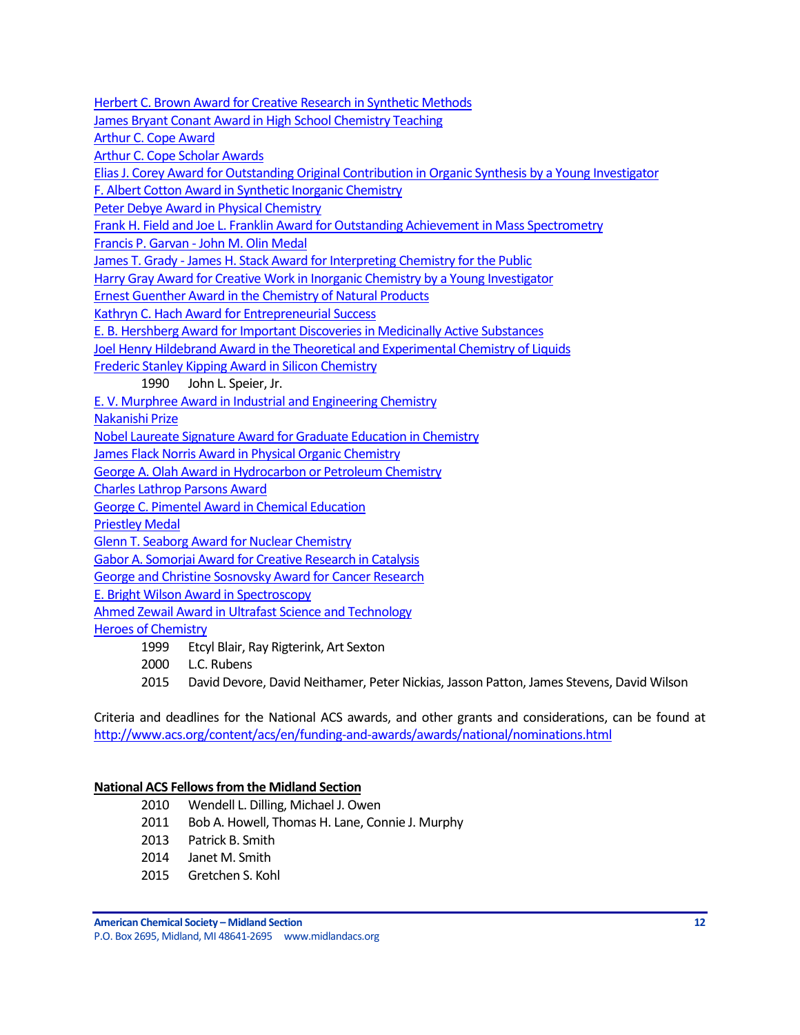[Herbert C. Brown Award for Creative Research in Synthetic Methods](http://www.acs.org/content/acs/en/funding-and-awards/awards/national/bytopic/herbert-c-brown-award-for-creative-research-in-synthetic-methods.html)

[James Bryant Conant Award in High School Chemistry Teaching](http://www.acs.org/content/acs/en/funding-and-awards/awards/national/bytopic/james-bryant-conant-award-in-high-school-chemistry-teaching.html)

[Arthur C. Cope Award](http://www.acs.org/content/acs/en/funding-and-awards/awards/national/bytopic/arthur-c-cope-award.html)

[Arthur C. Cope Scholar Awards](http://www.acs.org/content/acs/en/funding-and-awards/awards/national/bytopic/arthur-c-cope-scholar-awards.html)

[Elias J. Corey Award for Outstanding Original Contribution in Organic Synthesis by a Young Investigator](http://www.acs.org/content/acs/en/funding-and-awards/awards/national/bytopic/elias-j-corey-award-for-outstanding-original-contribution-in-organic-synthesis-by-a-young-investigator.html)

[F. Albert Cotton Award in Synthetic Inorganic Chemistry](http://www.acs.org/content/acs/en/funding-and-awards/awards/national/bytopic/f-albert-cotton-award-in-synthetic-inorganic-chemistry.html)

[Peter Debye Award in Physical Chemistry](http://www.acs.org/content/acs/en/funding-and-awards/awards/national/bytopic/peter-debye-award-in-physical-chemistry.html)

[Frank H. Field and Joe L. Franklin Award for Outstanding Achievement in Mass Spectrometry](http://www.acs.org/content/acs/en/funding-and-awards/awards/national/bytopic/frank-h-field-and-joe-l-franklin-award-for-outstanding-achievement-in-mass-spectrometry.html)

Francis P. Garvan - [John M. Olin Medal](http://www.acs.org/content/acs/en/funding-and-awards/awards/national/bytopic/francis-p-garvan-john-m-olin-medal.html)

James T. Grady - [James H. Stack Award for Interpreting Chemistry for the Public](http://www.acs.org/content/acs/en/funding-and-awards/awards/national/bytopic/james-t-grady-james-h-stack-award-for-interpreting-chemistry-for-the-public.html)

[Harry Gray Award for Creative Work in Inorganic Chemistry by a Young Investigator](http://www.acs.org/content/acs/en/funding-and-awards/awards/national/bytopic/harry-gray-award-for-creative-work-in-inorganic-chemistry-by-a-y.html)

[Ernest Guenther Award in the Chemistry of Natural Products](http://www.acs.org/content/acs/en/funding-and-awards/awards/national/bytopic/ernest-guenther-award-in-the-chemistry-of-natural-products.html)

[Kathryn C. Hach Award for Entrepreneurial Success](http://www.acs.org/content/acs/en/funding-and-awards/awards/national/bytopic/entrepreneurial-success.html)

[E. B. Hershberg Award for Important Discoveries in Medicinally Active Substances](http://www.acs.org/content/acs/en/funding-and-awards/awards/national/bytopic/e-b-hershberg-award-for-important-discoveries-in-medicinally-active-substances.html)

[Joel Henry Hildebrand Award in the Theoretical and Experimental Chemistry of Liquids](http://www.acs.org/content/acs/en/funding-and-awards/awards/national/bytopic/joel-henry-hildebrand-award-in-the-theoretical-and-experimental-chemistry-of-liquids.html)

[Frederic Stanley Kipping Award in Silicon Chemistry](http://www.acs.org/content/acs/en/funding-and-awards/awards/national/bytopic/frederic-stanley-kipping-award-in-silicon-chemistry.html)

1990 John L. Speier, Jr.

[E. V. Murphree Award in Industrial and Engineering Chemistry](http://www.acs.org/content/acs/en/funding-and-awards/awards/national/bytopic/e-v-murphree-award-in-industrial-and-engineering-chemistry.html)

[Nakanishi Prize](http://www.acs.org/content/acs/en/funding-and-awards/awards/national/bytopic/nakanishi-prize.html)

[Nobel Laureate Signature Award for Graduate Education in Chemistry](http://www.acs.org/content/acs/en/funding-and-awards/awards/national/bytopic/nobel-laureate-signature-award-for-graduate-education-in-chemistry.html)

[James Flack Norris Award in Physical Organic Chemistry](http://www.acs.org/content/acs/en/funding-and-awards/awards/national/bytopic/james-flack-norris-award-in-physical-organic-chemistry.html)

[George A. Olah Award in Hydrocarbon or Petroleum Chemistry](http://www.acs.org/content/acs/en/funding-and-awards/awards/national/bytopic/george-a-olah-award-in-hydrocarbon-or-petroleum-chemistry.html)

[Charles Lathrop Parsons Award](http://www.acs.org/content/acs/en/funding-and-awards/awards/national/bytopic/charles-lathrop-parsons-award.html)

[George C. Pimentel Award in Chemical Education](http://www.acs.org/content/acs/en/funding-and-awards/awards/national/bytopic/george-c-pimentel-award-in-chemical-education.html)

[Priestley Medal](http://www.acs.org/content/acs/en/funding-and-awards/awards/national/bytopic/priestley-medal.html)

[Glenn T. Seaborg Award for Nuclear Chemistry](http://www.acs.org/content/acs/en/funding-and-awards/awards/national/bytopic/glenn-t-seaborg-award-for-nuclear-chemistry.html)

[Gabor A. Somorjai Award for Creative Research in Catalysis](http://www.acs.org/content/acs/en/funding-and-awards/awards/national/bytopic/gabor-a-somorjai-award-for-creative-research-in-catalysis.html)

[George and Christine Sosnovsky Award for Cancer Research](http://www.acs.org/content/acs/en/funding-and-awards/awards/national/bytopic/the-george-and-christine-sosnovsky-award-for-cancer-research.html)

[E. Bright Wilson Award in Spectroscopy](http://www.acs.org/content/acs/en/funding-and-awards/awards/national/bytopic/e-bright-wilson-award-in-spectroscopy.html)

[Ahmed Zewail Award in Ultrafast Science and Technology](http://www.acs.org/content/acs/en/funding-and-awards/awards/national/bytopic/the-ahmed-zewail-award-in-ultrafast-science-and-technology.html)

[Heroes of Chemistry](http://www.acs.org/content/acs/en/funding-and-awards/awards/industry/heroes.html)

- 1999 Etcyl Blair, Ray Rigterink, Art Sexton
- 2000 L.C. Rubens

2015 David Devore, David Neithamer, Peter Nickias, Jasson Patton, James Stevens, David Wilson

Criteria and deadlines for the National ACS awards, and other grants and considerations, can be found at <http://www.acs.org/content/acs/en/funding-and-awards/awards/national/nominations.html>

#### **National ACS Fellows from the Midland Section**

- 2010 Wendell L. Dilling, Michael J. Owen
- 2011 Bob A. Howell, Thomas H. Lane, Connie J. Murphy
- 2013 Patrick B. Smith
- 2014 Janet M. Smith
- 2015 Gretchen S. Kohl

**American Chemical Society – Midland Section 12** P.O. Box 2695, Midland, MI 48641-2695 www.midlandacs.org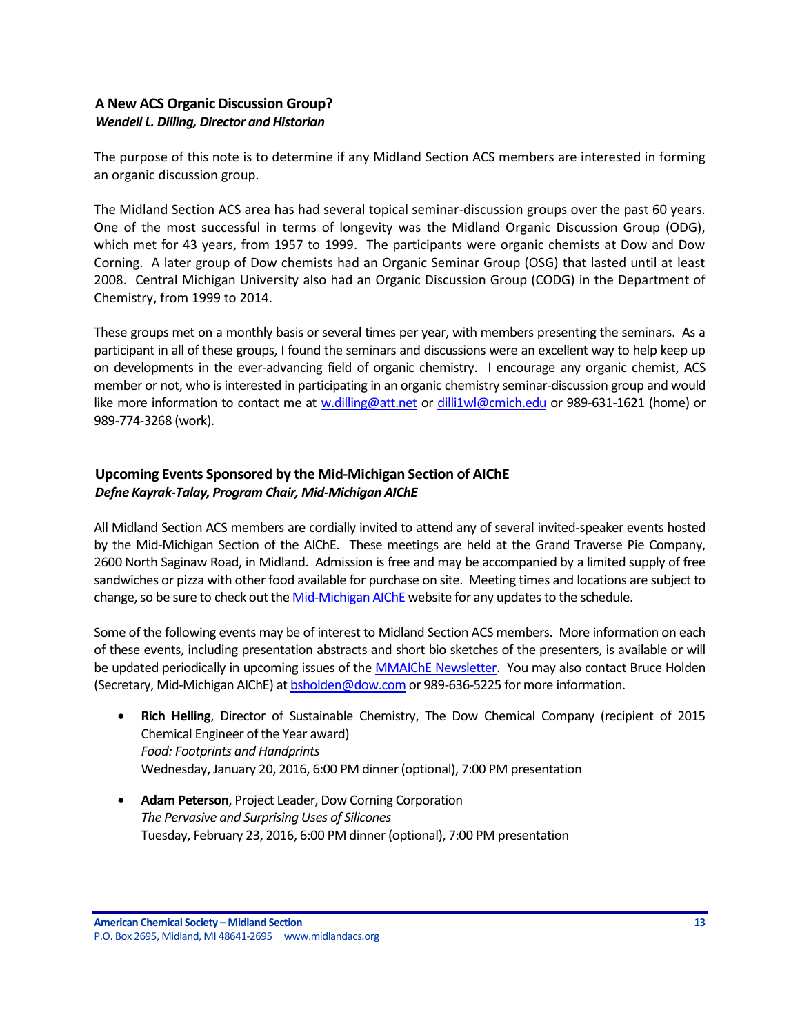## <span id="page-12-0"></span>**A New ACS Organic Discussion Group?** *Wendell L. Dilling, Director and Historian*

The purpose of this note is to determine if any Midland Section ACS members are interested in forming an organic discussion group.

The Midland Section ACS area has had several topical seminar-discussion groups over the past 60 years. One of the most successful in terms of longevity was the Midland Organic Discussion Group (ODG), which met for 43 years, from 1957 to 1999. The participants were organic chemists at Dow and Dow Corning. A later group of Dow chemists had an Organic Seminar Group (OSG) that lasted until at least 2008. Central Michigan University also had an Organic Discussion Group (CODG) in the Department of Chemistry, from 1999 to 2014.

These groups met on a monthly basis or several times per year, with members presenting the seminars. As a participant in all of these groups, I found the seminars and discussions were an excellent way to help keep up on developments in the ever-advancing field of organic chemistry. I encourage any organic chemist, ACS member or not, who is interested in participating in an organic chemistry seminar-discussion group and would like more information to contact me at [w.dilling@att.net](mailto:w.dilling@att.net) or [dilli1wl@cmich.edu](mailto:dilli1wl@cmich.edu) or 989-631-1621 (home) or 989-774-3268 (work).

# <span id="page-12-1"></span>**Upcoming Events Sponsored by the Mid-Michigan Section of AIChE** *Defne Kayrak-Talay, Program Chair, Mid-Michigan AIChE*

All Midland Section ACS members are cordially invited to attend any of several invited-speaker events hosted by the Mid-Michigan Section of the AIChE. These meetings are held at the Grand Traverse Pie Company, 2600 North Saginaw Road, in Midland. Admission is free and may be accompanied by a limited supply of free sandwiches or pizza with other food available for purchase on site. Meeting times and locations are subject to change, so be sure to check out the [Mid-Michigan AIChE](http://www.aiche.org/community/sites/local-sections/mid-michigan) website for any updates to the schedule.

Some of the following events may be of interest to Midland Section ACS members. More information on each of these events, including presentation abstracts and short bio sketches of the presenters, is available or will be updated periodically in upcoming issues of the **MMAIChE Newsletter.** You may also contact Bruce Holden (Secretary, Mid-Michigan AIChE) a[t bsholden@dow.com](mailto:bsholden@dow.com) or 989-636-5225 for more information.

- **Rich Helling**, Director of Sustainable Chemistry, The Dow Chemical Company (recipient of 2015 Chemical Engineer of the Year award) *Food: Footprints and Handprints* Wednesday, January 20, 2016, 6:00 PM dinner (optional), 7:00 PM presentation
- **Adam Peterson**, Project Leader, Dow Corning Corporation *The Pervasive and Surprising Uses of Silicones* Tuesday, February 23, 2016, 6:00 PM dinner (optional), 7:00 PM presentation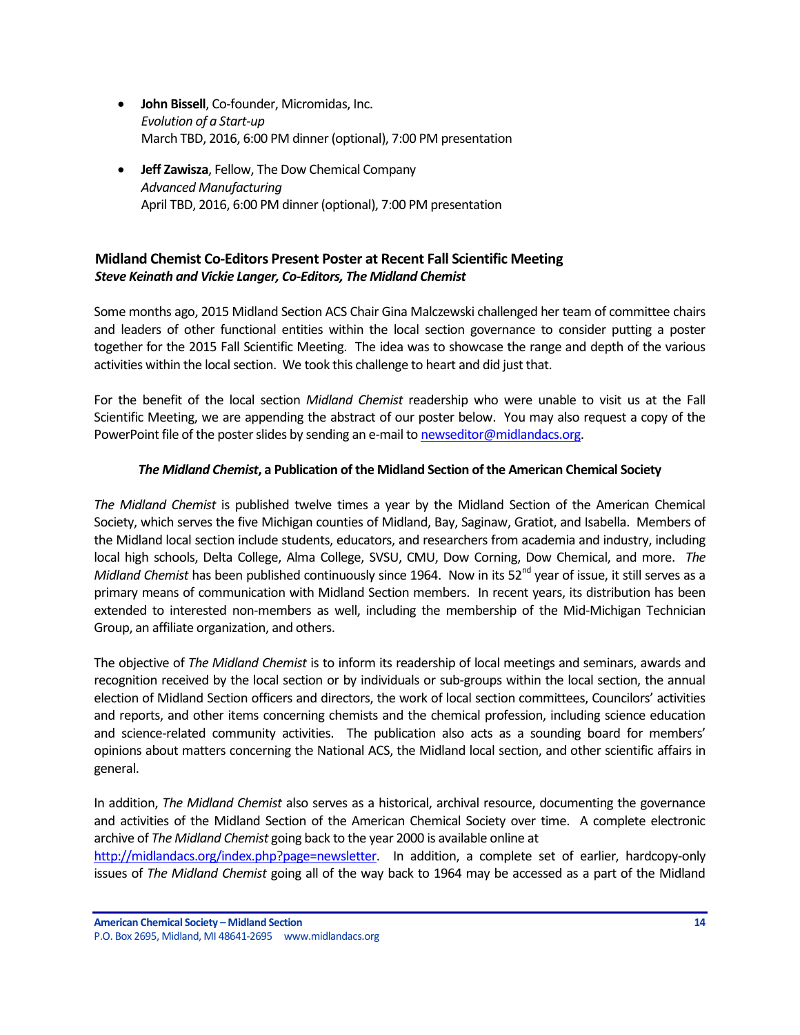- **John Bissell**, Co-founder, Micromidas, Inc. *Evolution of a Start-up* March TBD, 2016, 6:00 PM dinner (optional), 7:00 PM presentation
- **Jeff Zawisza**, Fellow, The Dow Chemical Company *Advanced Manufacturing* April TBD, 2016, 6:00 PM dinner (optional), 7:00 PM presentation

# <span id="page-13-0"></span>**Midland Chemist Co-Editors Present Poster at Recent Fall Scientific Meeting** *Steve Keinath and Vickie Langer, Co-Editors, The Midland Chemist*

Some months ago, 2015 Midland Section ACS Chair Gina Malczewski challenged her team of committee chairs and leaders of other functional entities within the local section governance to consider putting a poster together for the 2015 Fall Scientific Meeting. The idea was to showcase the range and depth of the various activities within the local section. We took this challenge to heart and did just that.

For the benefit of the local section *Midland Chemist* readership who were unable to visit us at the Fall Scientific Meeting, we are appending the abstract of our poster below. You may also request a copy of the PowerPoint file of the poster slides by sending an e-mail t[o newseditor@midlandacs.org.](mailto:newseditor@midlandacs.org)

## *The Midland Chemist***, a Publication of the Midland Section of the American Chemical Society**

*The Midland Chemist* is published twelve times a year by the Midland Section of the American Chemical Society, which serves the five Michigan counties of Midland, Bay, Saginaw, Gratiot, and Isabella. Members of the Midland local section include students, educators, and researchers from academia and industry, including local high schools, Delta College, Alma College, SVSU, CMU, Dow Corning, Dow Chemical, and more. *The Midland Chemist* has been published continuously since 1964. Now in its 52<sup>nd</sup> year of issue, it still serves as a primary means of communication with Midland Section members. In recent years, its distribution has been extended to interested non-members as well, including the membership of the Mid-Michigan Technician Group, an affiliate organization, and others.

The objective of *The Midland Chemist* is to inform its readership of local meetings and seminars, awards and recognition received by the local section or by individuals or sub-groups within the local section, the annual election of Midland Section officers and directors, the work of local section committees, Councilors' activities and reports, and other items concerning chemists and the chemical profession, including science education and science-related community activities. The publication also acts as a sounding board for members' opinions about matters concerning the National ACS, the Midland local section, and other scientific affairs in general.

In addition, *The Midland Chemist* also serves as a historical, archival resource, documenting the governance and activities of the Midland Section of the American Chemical Society over time. A complete electronic archive of *The Midland Chemist* going back to the year 2000 is available online at

[http://midlandacs.org/index.php?page=newsletter.](http://midlandacs.org/index.php?page=newsletter) In addition, a complete set of earlier, hardcopy-only issues of *The Midland Chemist* going all of the way back to 1964 may be accessed as a part of the Midland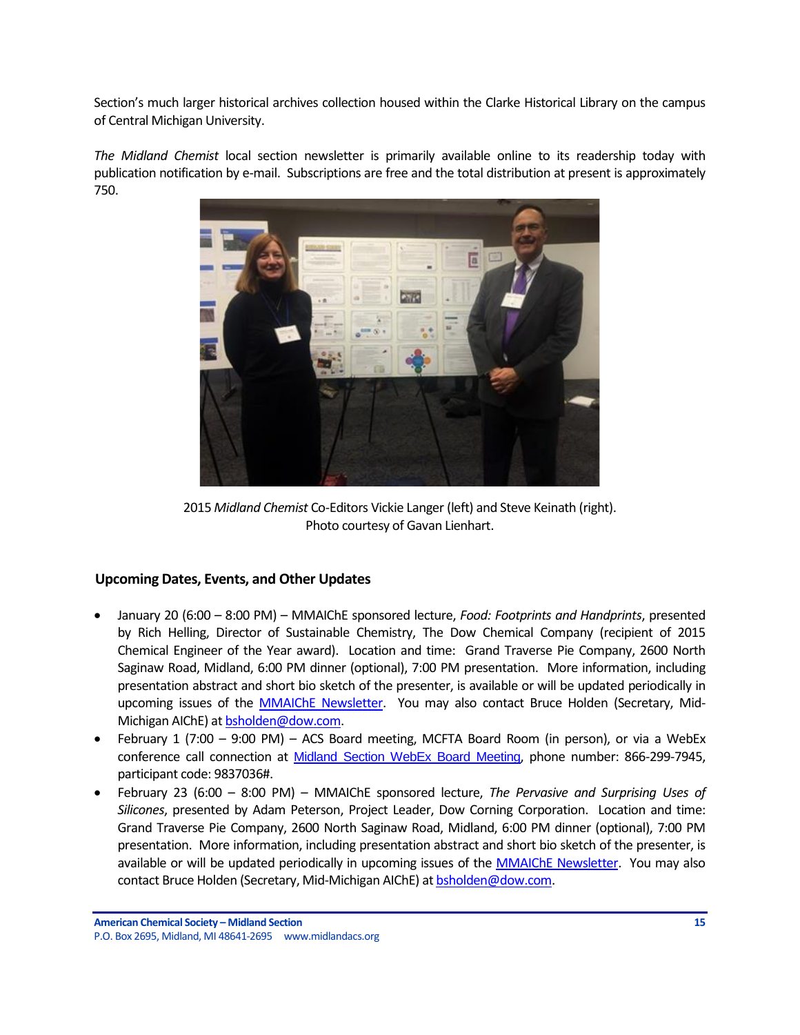Section's much larger historical archives collection housed within the Clarke Historical Library on the campus of Central Michigan University.

*The Midland Chemist* local section newsletter is primarily available online to its readership today with publication notification by e-mail. Subscriptions are free and the total distribution at present is approximately 750.



2015 *Midland Chemist* Co-Editors Vickie Langer (left) and Steve Keinath (right). Photo courtesy of Gavan Lienhart.

## <span id="page-14-0"></span>**Upcoming Dates, Events, and Other Updates**

- January 20 (6:00 8:00 PM) MMAIChE sponsored lecture, *Food: Footprints and Handprints*, presented by Rich Helling, Director of Sustainable Chemistry, The Dow Chemical Company (recipient of 2015 Chemical Engineer of the Year award). Location and time: Grand Traverse Pie Company, 2600 North Saginaw Road, Midland, 6:00 PM dinner (optional), 7:00 PM presentation. More information, including presentation abstract and short bio sketch of the presenter, is available or will be updated periodically in upcoming issues of the [MMAIChE Newsletter.](http://www.aiche.org/community/sites/local-sections/mid-michigan/newsletters) You may also contact Bruce Holden (Secretary, Mid-Michigan AIChE) a[t bsholden@dow.com.](mailto:bsholden@dow.com)
- February 1 (7:00 9:00 PM) ACS Board meeting, MCFTA Board Room (in person), or via a WebEx conference call connection at [Midland Section WebEx Board Meeting](https://meetings.webex.com/collabs/meetings/join?uuid=MDUIF3K1F2PHUAY4ZKRYDP7EXH-MIS), phone number: 866-299-7945, participant code: 9837036#.
- February 23 (6:00 8:00 PM) MMAIChE sponsored lecture, *The Pervasive and Surprising Uses of Silicones*, presented by Adam Peterson, Project Leader, Dow Corning Corporation. Location and time: Grand Traverse Pie Company, 2600 North Saginaw Road, Midland, 6:00 PM dinner (optional), 7:00 PM presentation. More information, including presentation abstract and short bio sketch of the presenter, is available or will be updated periodically in upcoming issues of the [MMAIChE Newsletter.](http://www.aiche.org/community/sites/local-sections/mid-michigan/newsletters) You may also contact Bruce Holden (Secretary, Mid-Michigan AIChE) at [bsholden@dow.com.](mailto:bsholden@dow.com)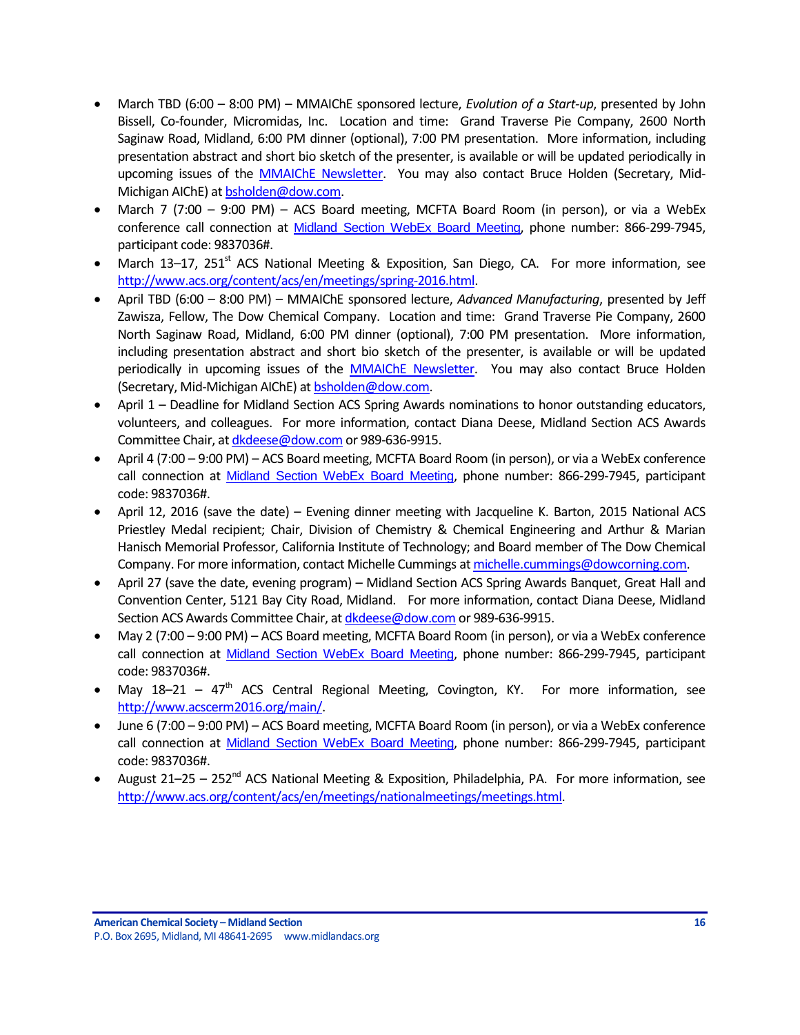- March TBD (6:00 8:00 PM) MMAIChE sponsored lecture, *Evolution of a Start-up*, presented by John Bissell, Co-founder, Micromidas, Inc. Location and time: Grand Traverse Pie Company, 2600 North Saginaw Road, Midland, 6:00 PM dinner (optional), 7:00 PM presentation. More information, including presentation abstract and short bio sketch of the presenter, is available or will be updated periodically in upcoming issues of the [MMAIChE Newsletter.](http://www.aiche.org/community/sites/local-sections/mid-michigan/newsletters) You may also contact Bruce Holden (Secretary, Mid-Michigan AIChE) a[t bsholden@dow.com.](mailto:bsholden@dow.com)
- March 7 (7:00 9:00 PM) ACS Board meeting, MCFTA Board Room (in person), or via a WebEx conference call connection at [Midland Section WebEx Board Meeting](https://meetings.webex.com/collabs/meetings/join?uuid=MDUIF3K1F2PHUAY4ZKRYDP7EXH-MIS), phone number: 866-299-7945, participant code: 9837036#.
- March 13–17, 251 $^{\rm st}$  ACS National Meeting & Exposition, San Diego, CA. For more information, see [http://www.acs.org/content/acs/en/meetings/spring-2016.html.](http://www.acs.org/content/acs/en/meetings/spring-2016.html)
- April TBD (6:00 8:00 PM) MMAIChE sponsored lecture, *Advanced Manufacturing*, presented by Jeff Zawisza, Fellow, The Dow Chemical Company. Location and time: Grand Traverse Pie Company, 2600 North Saginaw Road, Midland, 6:00 PM dinner (optional), 7:00 PM presentation. More information, including presentation abstract and short bio sketch of the presenter, is available or will be updated periodically in upcoming issues of the [MMAIChE Newsletter.](http://www.aiche.org/community/sites/local-sections/mid-michigan/newsletters) You may also contact Bruce Holden (Secretary, Mid-Michigan AIChE) a[t bsholden@dow.com.](mailto:bsholden@dow.com)
- April 1 Deadline for Midland Section ACS Spring Awards nominations to honor outstanding educators, volunteers, and colleagues. For more information, contact Diana Deese, Midland Section ACS Awards Committee Chair, a[t dkdeese@dow.com](mailto:dkdeese@dow.com) or 989-636-9915.
- April 4 (7:00 9:00 PM) ACS Board meeting, MCFTA Board Room (in person), or via a WebEx conference call connection at [Midland Section WebEx Board Meeting](https://meetings.webex.com/collabs/meetings/join?uuid=MDUIF3K1F2PHUAY4ZKRYDP7EXH-MIS), phone number: 866-299-7945, participant code: 9837036#.
- April 12, 2016 (save the date) Evening dinner meeting with Jacqueline K. Barton, 2015 National ACS Priestley Medal recipient; Chair, Division of Chemistry & Chemical Engineering and Arthur & Marian Hanisch Memorial Professor, California Institute of Technology; and Board member of The Dow Chemical Company. For more information, contact Michelle Cummings a[t michelle.cummings@dowcorning.com.](mailto:michelle.cummings@dowcorning.com)
- April 27 (save the date, evening program) Midland Section ACS Spring Awards Banquet, Great Hall and Convention Center, 5121 Bay City Road, Midland. For more information, contact Diana Deese, Midland Section ACS Awards Committee Chair, a[t dkdeese@dow.com](mailto:dkdeese@dow.com) or 989-636-9915.
- May 2 (7:00 9:00 PM) ACS Board meeting, MCFTA Board Room (in person), or via a WebEx conference call connection at [Midland Section WebEx Board Meeting](https://meetings.webex.com/collabs/meetings/join?uuid=MDUIF3K1F2PHUAY4ZKRYDP7EXH-MIS), phone number: 866-299-7945, participant code: 9837036#.
- May  $18-21 47$ <sup>th</sup> ACS Central Regional Meeting, Covington, KY. For more information, see [http://www.acscerm2016.org/main/.](http://www.acscerm2016.org/main/)
- June 6 (7:00 9:00 PM) ACS Board meeting, MCFTA Board Room (in person), or via a WebEx conference call connection at [Midland Section WebEx Board Meeting](https://meetings.webex.com/collabs/meetings/join?uuid=MDUIF3K1F2PHUAY4ZKRYDP7EXH-MIS), phone number: 866-299-7945, participant code: 9837036#.
- August 21–25 252<sup>nd</sup> ACS National Meeting & Exposition, Philadelphia, PA. For more information, see [http://www.acs.org/content/acs/en/meetings/nationalmeetings/meetings.html.](http://www.acs.org/content/acs/en/meetings/nationalmeetings/meetings.html)